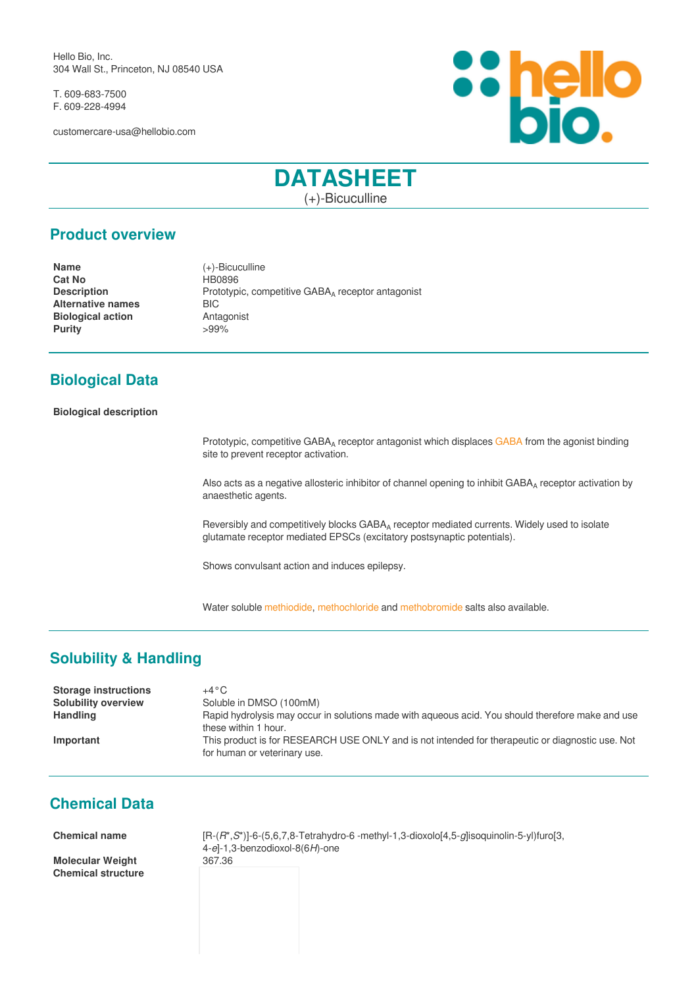Hello Bio, Inc. 304 Wall St., Princeton, NJ 08540 USA

T. 609-683-7500 F. 609-228-4994

customercare-usa@hellobio.com



# **DATASHEET**

(+)-Bicuculline

## **Product overview**

**Cat No <br>
HB0896 Alternative names** BIC **Biological action Antagonist Purity**  $>99\%$ 

**Name** (+)-Bicuculline **Description** Prototypic, competitive GABA<sub>A</sub> receptor antagonist

## **Biological Data**

#### **Biological description**

Prototypic, competitive GABA<sub>A</sub> receptor antagonist which displaces [GABA](gaba.html) from the agonist binding site to prevent receptor activation.

Also acts as a negative allosteric inhibitor of channel opening to inhibit GABA<sub>A</sub> receptor activation by anaesthetic agents.

Reversibly and competitively blocks GABA<sub>A</sub> receptor mediated currents. Widely used to isolate glutamate receptor mediated EPSCs (excitatory postsynaptic potentials).

Shows convulsant action and induces epilepsy.

Water soluble [methiodide](bicuculline-methiodide.html), [methochloride](bicuculline-methochloride.html) and [methobromide](bicuculline-methobromide.html) salts also available.

## **Solubility & Handling**

| <b>Storage instructions</b> | $+4\,^{\circ}\mathrm{C}$                                                                                                         |
|-----------------------------|----------------------------------------------------------------------------------------------------------------------------------|
| <b>Solubility overview</b>  | Soluble in DMSO (100mM)                                                                                                          |
| <b>Handling</b>             | Rapid hydrolysis may occur in solutions made with agueous acid. You should therefore make and use<br>these within 1 hour.        |
| Important                   | This product is for RESEARCH USE ONLY and is not intended for therapeutic or diagnostic use. Not<br>for human or veterinary use. |

### **Chemical Data**

**Molecular Weight** 367.36 **Chemical structure**

**Chemical name** [R-(*R*\*,*S*\*)]-6-(5,6,7,8-Tetrahydro-6 -methyl-1,3-dioxolo[4,5-*g*]isoquinolin-5-yl)furo[3, 4-*e*]-1,3-benzodioxol-8(6*H*)-one